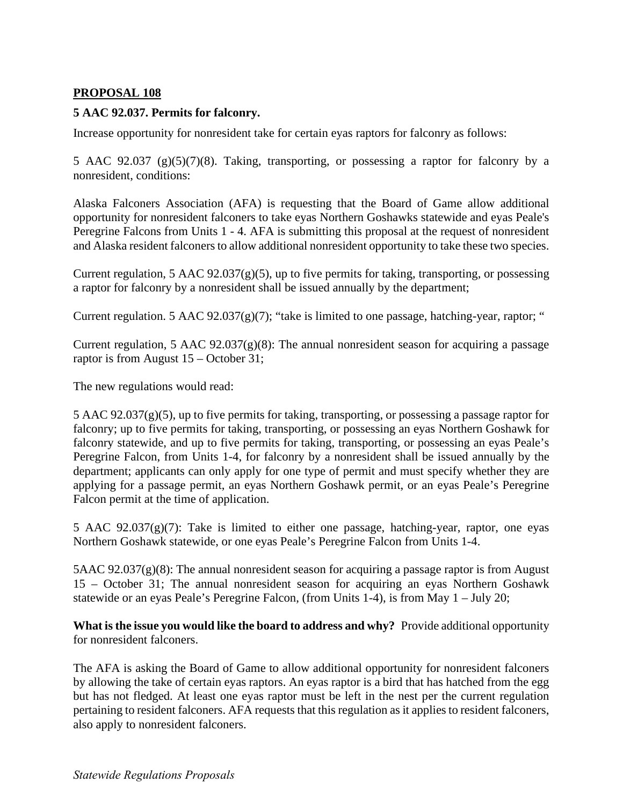## **PROPOSAL 108**

## **5 AAC 92.037. Permits for falconry.**

Increase opportunity for nonresident take for certain eyas raptors for falconry as follows:

5 AAC 92.037 (g)(5)(7)(8). Taking, transporting, or possessing a raptor for falconry by a nonresident, conditions:

Alaska Falconers Association (AFA) is requesting that the Board of Game allow additional opportunity for nonresident falconers to take eyas Northern Goshawks statewide and eyas Peale's Peregrine Falcons from Units 1 - 4. AFA is submitting this proposal at the request of nonresident and Alaska resident falconers to allow additional nonresident opportunity to take these two species.

Current regulation, 5 AAC  $92.037(g)(5)$ , up to five permits for taking, transporting, or possessing a raptor for falconry by a nonresident shall be issued annually by the department;

Current regulation. 5 AAC  $92.037(g)(7)$ ; "take is limited to one passage, hatching-year, raptor; "

Current regulation, 5 AAC  $92.037(g)(8)$ : The annual nonresident season for acquiring a passage raptor is from August 15 – October 31;

The new regulations would read:

5 AAC 92.037(g)(5), up to five permits for taking, transporting, or possessing a passage raptor for falconry; up to five permits for taking, transporting, or possessing an eyas Northern Goshawk for falconry statewide, and up to five permits for taking, transporting, or possessing an eyas Peale's Peregrine Falcon, from Units 1-4, for falconry by a nonresident shall be issued annually by the department; applicants can only apply for one type of permit and must specify whether they are applying for a passage permit, an eyas Northern Goshawk permit, or an eyas Peale's Peregrine Falcon permit at the time of application.

5 AAC  $92.037(g)(7)$ : Take is limited to either one passage, hatching-year, raptor, one eyas Northern Goshawk statewide, or one eyas Peale's Peregrine Falcon from Units 1-4.

5AAC 92.037(g)(8): The annual nonresident season for acquiring a passage raptor is from August 15 – October 31; The annual nonresident season for acquiring an eyas Northern Goshawk statewide or an eyas Peale's Peregrine Falcon, (from Units 1-4), is from May 1 – July 20;

**What is the issue you would like the board to address and why?** Provide additional opportunity for nonresident falconers.

The AFA is asking the Board of Game to allow additional opportunity for nonresident falconers by allowing the take of certain eyas raptors. An eyas raptor is a bird that has hatched from the egg but has not fledged. At least one eyas raptor must be left in the nest per the current regulation pertaining to resident falconers. AFA requests that this regulation as it applies to resident falconers, also apply to nonresident falconers.